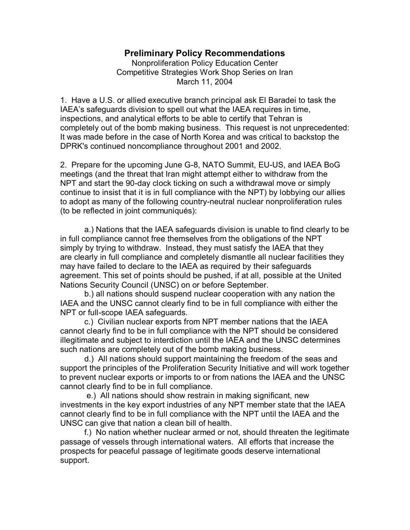## **Preliminary Policy Recommendations**

Nonproliferation Policy Education Center Competitive Strategies Work Shop Series on Iran March 11, 2004

1. Have a U.S. or allied executive branch principal ask El Baradei to task the IAEA's safeguards division to spell out what the IAEA requires in time, inspections, and analytical efforts to be able to certify that Tehran is completely out of the bomb making business. This request is not unprecedented: It was made before in the case of North Korea and was critical to backstop the DPRK's continued noncompliance throughout 2001 and 2002.

2. Prepare for the upcoming June G-8, NATO Summit, EU-US, and IAEA BoG meetings (and the threat that Iran might attempt either to withdraw from the NPT and start the 90-day clock ticking on such a withdrawal move or simply continue to insist that it is in full compliance with the NPT) by lobbying our allies to adopt as many of the following country-neutral nuclear nonproliferation rules (to be reflected in joint communiqués):

a.) Nations that the IAEA safeguards division is unable to find clearly to be in full compliance cannot free themselves from the obligations of the NPT simply by trying to withdraw. Instead, they must satisfy the IAEA that they are clearly in full compliance and completely dismantle all nuclear facilities they may have failed to declare to the IAEA as required by their safeguards agreement. This set of points should be pushed, if at all, possible at the United Nations Security Council (UNSC) on or before September.

b.) all nations should suspend nuclear cooperation with any nation the IAEA and the UNSC cannot clearly find to be in full compliance with either the NPT or full-scope IAEA safeguards.

c.) Civilian nuclear exports from NPT member nations that the IAEA cannot clearly find to be in full compliance with the NPT should be considered illegitimate and subject to interdiction until the IAEA and the UNSC determines such nations are completely out of the bomb making business.

d.) All nations should support maintaining the freedom of the seas and support the principles of the Proliferation Security Initiative and will work together to prevent nuclear exports or imports to or from nations the IAEA and the UNSC cannot clearly find to be in full compliance.

e.) All nations should show restrain in making significant, new investments in the key export industries of any NPT member state that the IAEA cannot clearly find to be in full compliance with the NPT until the IAEA and the UNSC can give that nation a clean bill of health.

f.) No nation whether nuclear armed or not, should threaten the legitimate passage of vessels through international waters. All efforts that increase the prospects for peaceful passage of legitimate goods deserve international support.